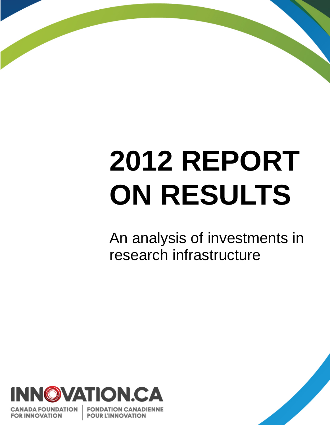# **2012 REPORT ON RESULTS**

An analysis of investments in research infrastructure



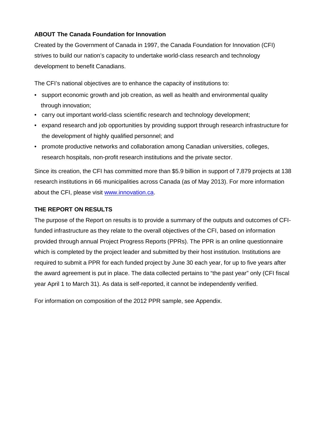#### **ABOUT The Canada Foundation for Innovation**

Created by the Government of Canada in 1997, the Canada Foundation for Innovation (CFI) strives to build our nation's capacity to undertake world-class research and technology development to benefit Canadians.

The CFI's national objectives are to enhance the capacity of institutions to:

- support economic growth and job creation, as well as health and environmental quality through innovation;
- carry out important world-class scientific research and technology development;
- expand research and job opportunities by providing support through research infrastructure for the development of highly qualified personnel; and
- promote productive networks and collaboration among Canadian universities, colleges, research hospitals, non-profit research institutions and the private sector.

Since its creation, the CFI has committed more than \$5.9 billion in support of 7,879 projects at 138 research institutions in 66 municipalities across Canada (as of May 2013). For more information about the CFI, please visit [www.innovation.ca](http://www.innovation.ca/).

#### **THE REPORT ON RESULTS**

The purpose of the Report on results is to provide a summary of the outputs and outcomes of CFIfunded infrastructure as they relate to the overall objectives of the CFI, based on information provided through annual Project Progress Reports (PPRs). The PPR is an online questionnaire which is completed by the project leader and submitted by their host institution. Institutions are required to submit a PPR for each funded project by June 30 each year, for up to five years after the award agreement is put in place. The data collected pertains to "the past year" only (CFI fiscal year April 1 to March 31). As data is self-reported, it cannot be independently verified.

For information on composition of the 2012 PPR sample, see Appendix.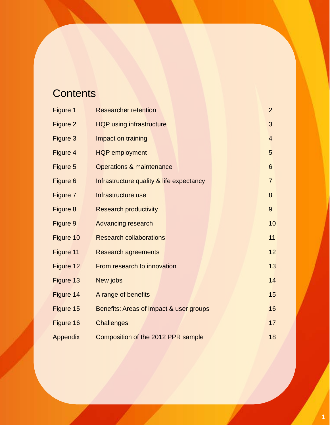### **Contents**

| Figure 1                                             | <b>Researcher retention</b>                   | $\overline{2}$ |  |  |
|------------------------------------------------------|-----------------------------------------------|----------------|--|--|
| Figure 2                                             | <b>HQP using infrastructure</b>               | 3              |  |  |
| Figure 3                                             | Impact on training                            | $\overline{4}$ |  |  |
| Figure 4                                             | <b>HQP</b> employment<br>5                    |                |  |  |
| Figure 5                                             | Operations & maintenance                      |                |  |  |
| Figure 6                                             | Infrastructure quality & life expectancy      | $\overline{7}$ |  |  |
| Figure 7                                             | Infrastructure use                            | 8              |  |  |
| Figure 8                                             | <b>Research productivity</b>                  | 9              |  |  |
| Figure 9                                             | <b>Advancing research</b>                     | 10             |  |  |
| Figure 10                                            | <b>Research collaborations</b>                | 11             |  |  |
| Figure 11                                            | <b>Research agreements</b>                    | 12             |  |  |
| Figure 12                                            | From research to innovation                   | 13             |  |  |
| Figure 13                                            | New jobs                                      | 14             |  |  |
| Figure 14                                            | 15<br>A range of benefits                     |                |  |  |
| Figure 15                                            | 16<br>Benefits: Areas of impact & user groups |                |  |  |
| Figure 16                                            | 17<br><b>Challenges</b>                       |                |  |  |
| 18<br>Appendix<br>Composition of the 2012 PPR sample |                                               |                |  |  |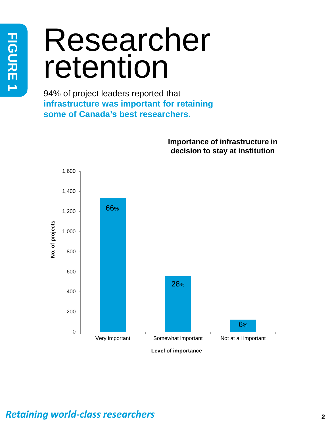# Researcher retention

94% of project leaders reported that **infrastructure was important for retaining some of Canada's best researchers.**



**Importance of infrastructure in** 

### *Retaining world-class researchers* **<sup>2</sup>**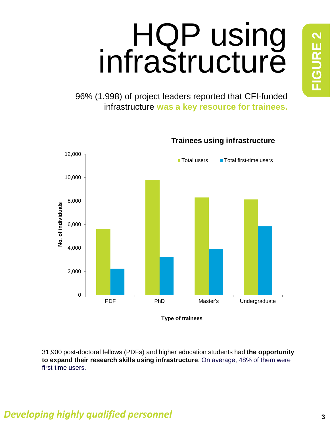# **FIGURE 2 FIGURE 2**

# HQP using infrastructure

96% (1,998) of project leaders reported that CFI-funded infrastructure **was a key resource for trainees.**



31,900 post-doctoral fellows (PDFs) and higher education students had **the opportunity to expand their research skills using infrastructure**. On average, 48% of them were first-time users.

### *Developing highly qualified personnel* **3**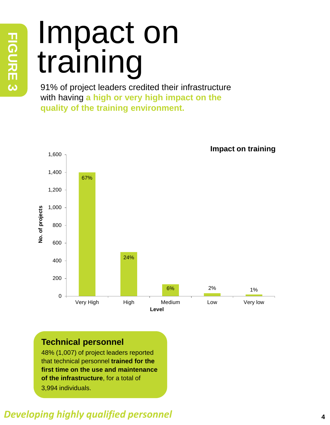# Impact on training

91% of project leaders credited their infrastructure with having **a high or very high impact on the quality of the training environment.**



### **Technical personnel**

48% (1,007) of project leaders reported that technical personnel **trained for the first time on the use and maintenance of the infrastructure**, for a total of 3,994 individuals.

### *Developing highly qualified personnel* **<sup>4</sup>**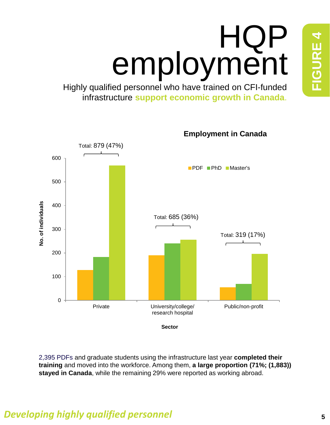# HQP employment

Highly qualified personnel who have trained on CFI-funded infrastructure **support economic growth in Canada**.



2,395 PDFs and graduate students using the infrastructure last year **completed their training** and moved into the workforce. Among them, **a large proportion (71%; (1,883)) stayed in Canada**, while the remaining 29% were reported as working abroad.

### *Developing highly qualified personnel* **5**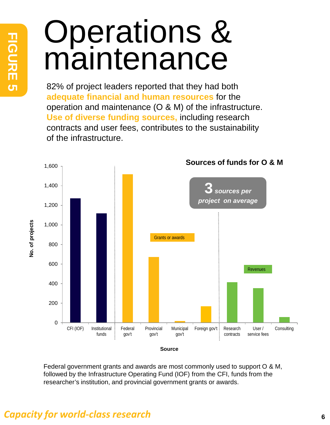# Operations & maintenance

82% of project leaders reported that they had both **adequate financial and human resources** for the operation and maintenance (O & M) of the infrastructure. **Use of diverse funding sources,** including research contracts and user fees, contributes to the sustainability of the infrastructure.



Federal government grants and awards are most commonly used to support O & M, followed by the Infrastructure Operating Fund (IOF) from the CFI, funds from the researcher's institution, and provincial government grants or awards.

### *Capacity for world-class research*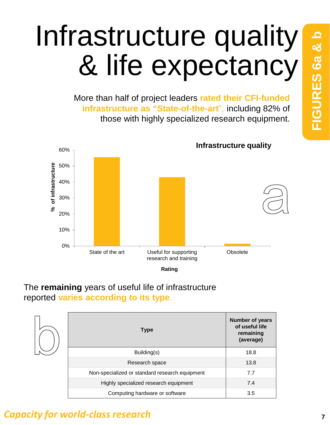# Infrastructure quality & life expectancy

More than half of project leaders **rated their CFI-funded infrastructure as "State-of-the-art**", including 82% of those with highly specialized research equipment.



### The **remaining** years of useful life of infrastructure reported **varies according to its type**.

| <b>Type</b>                                    | <b>Number of years</b><br>of useful life<br>remaining<br>(average) |
|------------------------------------------------|--------------------------------------------------------------------|
| Building(s)                                    | 18.8                                                               |
| Research space                                 | 13.8                                                               |
| Non-specialized or standard research equipment | 7.7                                                                |
| Highly specialized research equipment          | 7.4                                                                |
| Computing hardware or software                 | 3.5                                                                |

### *Capacity for world-class research* **<sup>7</sup>**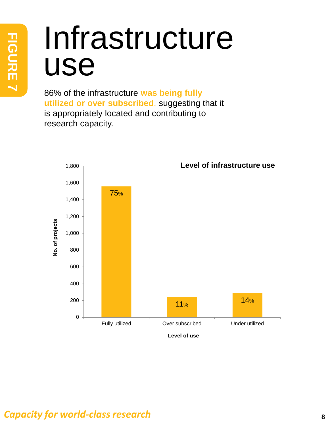# Infrastructure use

86% of the infrastructure **was being fully utilized or over subscribed**, suggesting that it is appropriately located and contributing to research capacity.

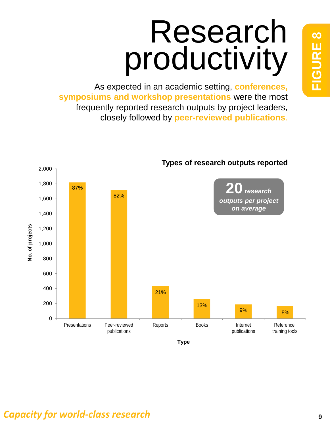# Research productivity

As expected in an academic setting, **conferences, symposiums and workshop presentations** were the most frequently reported research outputs by project leaders, closely followed by **peer-reviewed publications**.



#### **Types of research outputs reported**

### *Capacity for world-class research*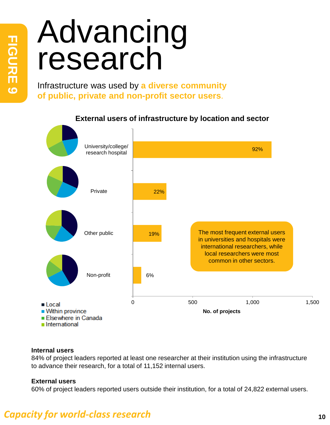# Advancing research

Infrastructure was used by **a diverse community of public, private and non-profit sector users**.



#### **External users of infrastructure by location and sector**

#### **Internal users**

84% of project leaders reported at least one researcher at their institution using the infrastructure to advance their research, for a total of 11,152 internal users.

#### **External users**

60% of project leaders reported users outside their institution, for a total of 24,822 external users.

### *Capacity for world-class research* **<sup>10</sup>**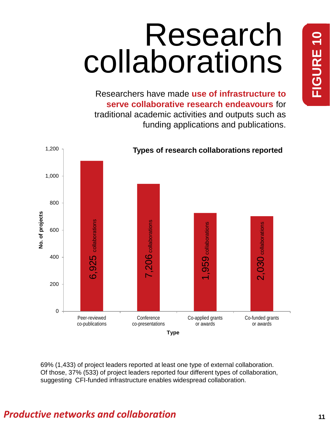# Research collaborations

Researchers have made **use of infrastructure to serve collaborative research endeavours** for traditional academic activities and outputs such as funding applications and publications.



69% (1,433) of project leaders reported at least one type of external collaboration. Of those, 37% (533) of project leaders reported four different types of collaboration, suggesting CFI-funded infrastructure enables widespread collaboration.

### *Productive networks and collaboration* **11**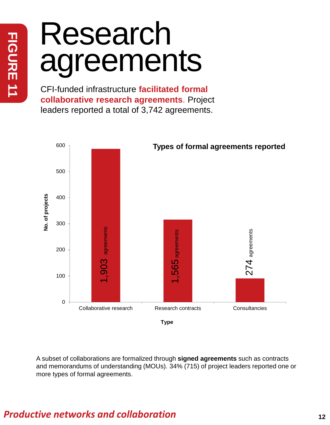# Research agreements

CFI-funded infrastructure **facilitated formal collaborative research agreements**. Project leaders reported a total of 3,742 agreements.



A subset of collaborations are formalized through **signed agreements** such as contracts and memorandums of understanding (MOUs). 34% (715) of project leaders reported one or more types of formal agreements.

### *Productive networks and collaboration* **12**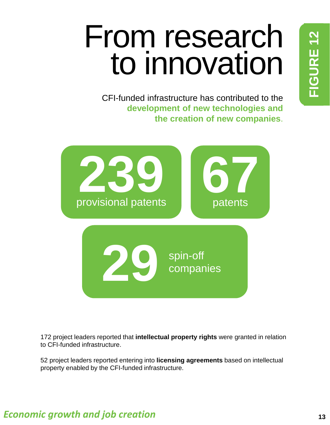# From research to innovation

CFI-funded infrastructure has contributed to the **development of new technologies and the creation of new companies**.



172 project leaders reported that **intellectual property rights** were granted in relation to CFI-funded infrastructure.

52 project leaders reported entering into **licensing agreements** based on intellectual property enabled by the CFI-funded infrastructure.

### *Economic growth and job creation*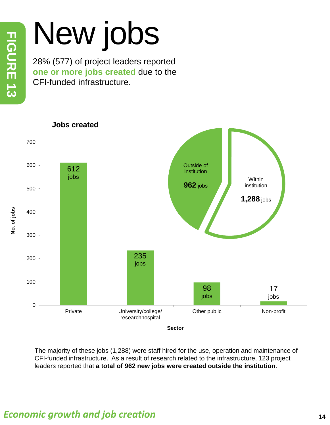# New jobs

28% (577) of project leaders reported **one or more jobs created** due to the CFI-funded infrastructure.



The majority of these jobs (1,288) were staff hired for the use, operation and maintenance of CFI-funded infrastructure. As a result of research related to the infrastructure, 123 project leaders reported that **a total of 962 new jobs were created outside the institution**.

**Sector**

**No. of jobs**

No. of jobs

### *Economic growth and job creation* **<sup>14</sup>**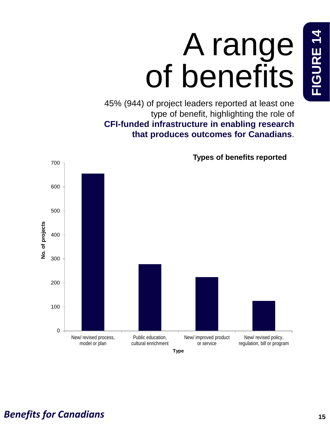# A range of benefits

45% (944) of project leaders reported at least one type of benefit, highlighting the role of **CFI-funded infrastructure in enabling research that produces outcomes for Canadians**.



**Types of benefits reported**

### *Benefits for Canadians*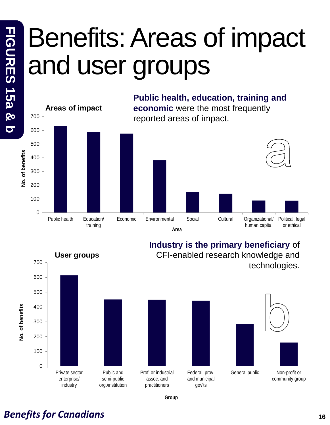### Benefits: Areas of impact and user groups





**Group**

### *Benefits for Canadians* **<sup>16</sup>**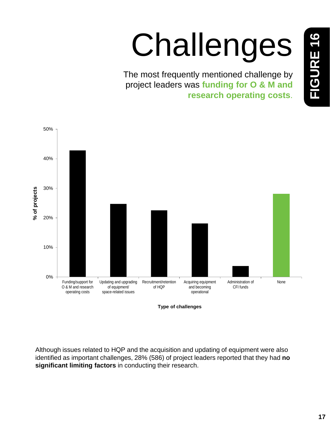# Challenges

The most frequently mentioned challenge by project leaders was **funding for O & M and research operating costs**.



**Type of challenges**

Although issues related to HQP and the acquisition and updating of equipment were also identified as important challenges, 28% (586) of project leaders reported that they had **no significant limiting factors** in conducting their research.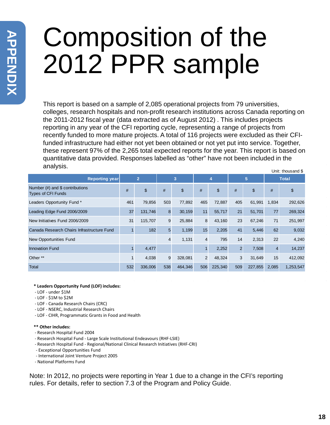# Composition of the 2012 PPR sample

This report is based on a sample of 2,085 operational projects from 79 universities, colleges, research hospitals and non-profit research institutions across Canada reporting on the 2011-2012 fiscal year (data extracted as of August 2012) . This includes projects reporting in any year of the CFI reporting cycle, representing a range of projects from recently funded to more mature projects. A total of 116 projects were excluded as their CFIfunded infrastructure had either not yet been obtained or not yet put into service. Together, these represent 97% of the 2,265 total expected reports for the year. This report is based on quantitative data provided. Responses labelled as "other" have not been included in the analysis. Unit: thousand \$

|                                                                 |                |         |                |               |                |         |                |         |                | ວາ ເກວດວດກາດ ພ |
|-----------------------------------------------------------------|----------------|---------|----------------|---------------|----------------|---------|----------------|---------|----------------|----------------|
| <b>Reporting year</b>                                           | $\overline{2}$ |         | 3              |               | 4              |         | 5              |         | <b>Total</b>   |                |
| Number $(\#)$ and \$ contributions<br><b>Types of CFI Funds</b> | #              | \$      | #              | $\frac{1}{2}$ | #              | \$      | #              | \$      | #              | \$             |
| Leaders Opportunity Fund *                                      | 461            | 79,856  | 503            | 77,892        | 465            | 72,887  | 405            | 61,991  | 1,834          | 292,626        |
| Leading Edge Fund 2006/2009                                     | 37             | 131,746 | 8              | 30,159        | 11             | 55,717  | 21             | 51,701  | 77             | 269,324        |
| New Initiatives Fund 2006/2009                                  | 31             | 115,707 | 9              | 25,884        | 8              | 43,160  | 23             | 67,246  | 71             | 251,997        |
| Canada Research Chairs Infrastructure Fund                      |                | 182     | 5              | 1,199         | 15             | 2,205   | 41             | 5,446   | 62             | 9,032          |
| New Opportunities Fund                                          |                |         | $\overline{4}$ | 1,131         | $\overline{4}$ | 795     | 14             | 2,313   | 22             | 4,240          |
| <b>Innovation Fund</b>                                          |                | 4,477   |                |               | 1              | 2,252   | $\overline{2}$ | 7,508   | $\overline{4}$ | 14,237         |
| Other **                                                        |                | 4,038   | 9              | 328,081       | $\overline{2}$ | 48,324  | 3              | 31,649  | 15             | 412,092        |
| Total                                                           | 532            | 336,006 | 538            | 464,346       | 506            | 225,340 | 509            | 227,855 | 2,085          | 1,253,547      |

#### **\* Leaders Opportunity Fund (LOF) includes:**

- LOF under \$1M
- LOF \$1M to \$2M
- LOF Canada Research Chairs (CRC)
- LOF NSERC, Industrial Research Chairs
- LOF CIHR, Programmatic Grants in Food and Health

#### **\*\* Other includes:**

- Research Hospital Fund 2004
- Research Hospital Fund Large Scale Institutional Endeavours (RHF-LSIE)
- Research Hospital Fund Regional/National Clinical Research Initiatives (RHF-CRI)
- Exceptional Opportunities Fund
- International Joint Venture Project 2005
- National Platforms Fund

Note: In 2012, no projects were reporting in Year 1 due to a change in the CFI's reporting rules. For details, refer to section 7.3 of the Program and Policy Guide.